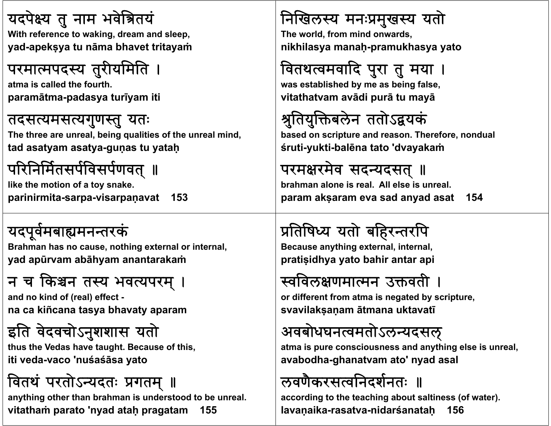#### यदपेक्ष्य तु नाम भवेत्रितयं

**With f t ki d d l With reference to waking, dream and sleep, yad-apekṣya tu nāma bhavet tritayaṁ**

#### परमात्मपदस्य तुरीयमिति ।

**atma i ll d th f th is called the fourth. paramātma-padasya turīyam iti**

#### तदसत्यमसत्यगुणस्तु यतः

The three are unreal, being qualities of the unreal mind, **tad asatyam asatya-guṇas tu yataḥ**

# परिनिर्मितसर्पविसर्पणवत् ॥

**like the motion of a toy snake. parinirmita-sarpa-visarpaṇavat 153**

### यदपूवमबामनतरक

**B h h thi t l i t l Brahman has no cause, nothing external or internal, yad apūrvam abāhyam anantarakaṁ**

### न च किश्चन तस्य भवत्यपरम् ।

**and ki d f ( l) ff t d no kind of (real) effect na ca kiñcana tasya bhavaty aparam**

#### इति वेदवचोऽनुशशास यतो

**th h V d h h B f hi hus the Vedas have taught. Because of this, iti veda-vaco 'nuśaśāsa yato**

### वितथं परतोऽन्यदतः प्रगतम् ॥

**anything other than brahman is understood to be unreal. vitathaṁ parato 'nyad ataḥ pragatam 155**

#### निखिलस्य मनःप्रमुखस्य यतो

**Th ld f i d d The world, from mind onwards, nikhilasya manaḥ-pramukhasya yato**

# वितथत्वमवादि पुरा तु मया ।

**was est bli h d b b i f l tablished by me as being false, vitathatvam avādi purā tu mayā**

# श्रुतियुक्तिबलेन ततोऽद्वयकं

**b d i d Th f based on scripture and reason. Therefore, nond l ua śruti-yukti-balēna tato 'dvayakaṁ**

#### परमक्षरमेव सदन्यदसत् ॥

**brahman alone is real. All else is unreal.param akṣaram eva sad anyad asat 154**

# प्रतिषिध्य यतो बहिरन्तरपि

**B thi t l i t l Because anything external, internal, pratiṣidhya yato bahir antar api**

#### स्वविलक्षणमात्मन उक्तवती ।

**or diff t f different from atma i t db i t is negated by scripture, svavilakṣaṇam ātmana uktavatī**

#### अवबोधघनत्वमतोऽलन्यदसल्

**atma i i s pure consciousness and anythi l i l hing else is unreal, avabodha-ghanatvam ato' nyad asal**

### लवणिकरसत्वनिदर्शनतः ॥

**according to the teaching about saltiness (of water). lavaṇaika-rasatva-nidarśanataḥ 156**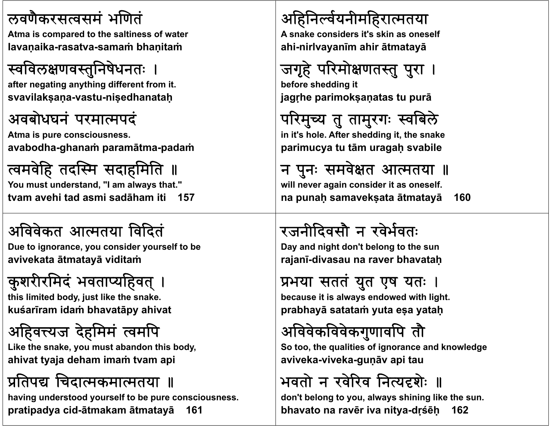#### लवणकरसवसम ै भणत

**Atma i d t th lti f t is compared to the saltiness of water lavaṇaika-rasatva-samaṁ bhaṇitaṁ**

### स्वविलक्षणवस्तुनिषेधनतः

**aft ti thi diff t f it fter negating anything different from it. svavilakṣaṇa-vastu-niṣedhanataḥ**

#### अवबोधघनं परमात्मपदं

**Atma i i s pure consciousness. avabodha-ghanaṁ paramātma-padaṁ**

#### त्वमवेहि तदस्मि सदाहमिति ॥ **You must understand, "I am always that." tvam avehi tad asmi sadāham iti 157**

#### अविवेकत आत्मतया विदितं

**D t i id lf t b Due to ignorance, you consider yourself to be avivekata ātmatayā viditaṁ**

# कुशरीरमिदं भवताप्यहिवत् ।

this limited body, just like the snake. **kuśarīram idaṁ bhavatāpy ahivat**

# अहिवत्त्यज देहमिमं त्वमपि

**Lik h k e t e snake, you must ab d hi b d bandon this body, ahivat tyaja deham imaṁ tvam api**

#### प्रतिपद्य चिदात्मकमात्मतया ॥

**having understood yourself to be pure consciousness. pratipadya cid-ātmakam ātmatayā 161**

#### अहिनवयनीमहरातया

**A k id it' ki lf A snake considers it's skin as oneself ahi-nirlvayanīm ahir ātmatayā**

# जगृहे परिमोक्षणतस्तु पुरा ।

**b f h ddi it before shedding jagṛhe parimokṣaṇatas tu purā**

परिमुच्य तु तामुरगः स्वबिले **i i' nt s h l Af h ddi i h k hole. After shedding it, the snake parimucya tu tām uragaḥ svabile**

न पुनः समवेक्षत आत्मतया ॥ **will never again consider it as oneself. na punaḥ samavekṣata ātmatayā 160**

# रजनीदिवसौ न रवेर्भवतः

**D d i ht Day and nightd 't b l t th don't belong to the sun rajanī-divasau na raver bhavataḥ**

#### प्रभया सततं युत एष यतः ।

**b it i l d d ith li ht because is always endowed with light. prabhayā satataṁ yuta eṣa yataḥ**

# अविवेकविवेकगुणावपि तौ

**S h li i f i d k l d So too, the qualities of ignorance and knowledge aviveka-viveka-guṇāv api tau**

### भवतो न रवेरिव नित्यदृशेः ॥

**don't belong to you, always shining like the sun. bhavato na ravēr iva nitya-dṛśēḥ 162**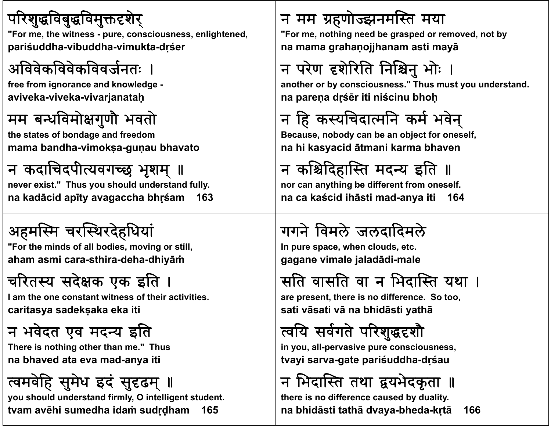#### परिशुद्धविबुद्धविमुक्तदृशेर्

"For me, the witness - pure, consciousness, enlightened, pariśuddha-vibuddha-vimukta-drśer

### अविवेकविवेकविवर्जनतः ।

free from ignorance and knowledge aviveka-viveka-vivarjanatah

#### मम बन्धविमोक्षगुणौ भवतो

the states of bondage and freedom mama bandha-vimoksa-gunau bhavato

# न कदाचिदपीत्यवगच्छ भृशम् ॥

never exist." Thus you should understand fully. na kadācid apīty avagaccha bhrśam 163

# अहमस्मि चरस्थिरदेहधियां

"For the minds of all bodies, moving or still, aham asmi cara-sthira-deha-dhiyām

# चरितस्य सदेक्षक एक इति ।

I am the one constant witness of their activities. caritasya sadeksaka eka iti

### न भवेदत एव मदन्य इति

There is nothing other than me." Thus na bhaved ata eva mad-anya iti

# त्वमवेहि सुमेध इदं सुदृढम् ॥

you should understand firmly, O intelligent student. tvam avēhi sumedha idam sudrdham 165

### न मम ग्रहणोज्झनमस्ति मया

"For me, nothing need be grasped or removed, not by na mama grahanojjhanam asti mayā

# न परेण दृशेरिति निश्चिनु भोः

another or by consciousness." Thus must you understand. na parena drśēr iti niścinu bhoh

# न हि कस्यचिदात्मनि कर्म भवेन्

Because, nobody can be an object for oneself, na hi kasyacid ātmani karma bhaven

# न कश्चिदिहास्ति मदन्य इति ॥

nor can anything be different from oneself. na ca kaścid ihāsti mad-anya iti 164

# गगने विमले जलदादिमले

In pure space, when clouds, etc. gagane vimale jaladādi-male

# सति वासति वा न भिदास्ति यथा ।

are present, there is no difference. So too, sati vāsati vā na bhidāsti yathā

# त्वयि सर्वगते परिशुद्धहशौ

in you, all-pervasive pure consciousness, tvayi sarva-gate pariśuddha-drśau

न भिदास्ति तथा द्वयभेदकृता ॥

there is no difference caused by duality. na bhidāsti tathā dvaya-bheda-krtā 166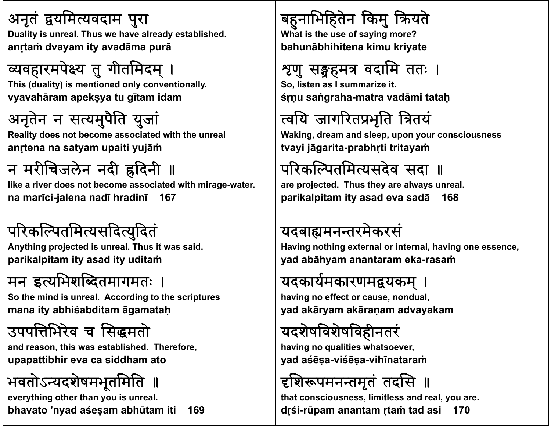#### अनृतं द्वयमित्यवदाम पुरा

Duality is unreal. Thus we have already established. **anṛtaṁ dvayam ity avadāma purā**

# व्यवहारमपेक्ष्य तु गीतमिदम् ।

**Thi (d lit ) i ti d l ti ll This (duality) is mentioned only conventionally. vyavahāram apekṣya tu gītam idam**

# अनृतेन न सत्यमुपैति युजां

**R li d b i d i h h l Reality does not become associated with the unreal anṛtena na satyam upaiti yujāṁ**

### न मरीचिजलेन नदी ह्रदिनी ॥

**like a river does not become associated with mirage-water. na marīci-jalena nadī hradinī 167**

### परिकल्पितमित्यसदित्युदितं

**A thi j t d i l Th it id Anything projected is unreal. Thus it was said. parikalpitam ity asad ity uditaṁ**

### मन इत्यभिशब्दितमागमतः ।

So the mind is unreal. According to the scriptures **mana ity abhiśabditam āgamataḥ**

# उपपभरेव <sup>च</sup> समताे

**and hi bli h d Th f d reason, this was established. Therefore, upapattibhir eva ca siddham ato**

# भवतोऽन्यदशेषमभूतमिति

**everything other than you is unreal. bhavato 'nyad aśeṣam abhūtam iti 169**

# बहुनाभिहितेन किमु क्रियते

**Wh t i th f i ? What is the use of saying more? bahunābhihitena kimu kriyate**

# श्रुणु सङ्ग्रहमत्र वदामि ततः ।

**S li t I i it So, listen as I summarize it. śṛṇu saṅgraha-matra vadāmi tataḥ**

# वय जागरतभृित ितय

**W ki d d l i Waking, dream and sleep, upon your consciousness tvayi jāgarita-prabhṛti tritayaṁ**

# परिकल्पितमित्यसदेव सदा ॥

**are projected. Thus they are always unreal. parikalpitam ity asad eva sadā 168**

#### यदबाह्यमनन्तरमेकरसं

**H i av ng nothi t l i t l h i thing external or internal, having one essence, yad abāhyam anantaram eka-rasaṁ**

#### यदकार्यमकारणमद्वयकम् ।

**h i ff t having no effect or cause, nond l ua , yad akāryam akāraṇam advayakam**

### यदशेषविशेषविहीनतरं

**h i li i h having no qualities whatsoever, yad aśēṣa-viśēṣa-vihīnataraṁ**

# दृशिरूपमनन्तमृतं तदसि ॥

**that consciousness, limitless and real, you are. dṛśi-rūpam anantam ṛtaṁ tad asi 170**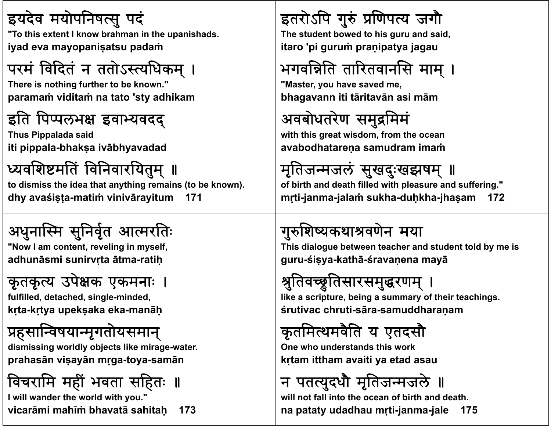#### इयदेव मयोपनिषत्सु पदं

"To this extent I know brahman in the upanishads. **iyad eva mayopaniṣatsu padaṁ**

#### परम ां विदितं न ततोऽस्त्यधिकम् ।

**Th i thi There is nothing f th t b k " further to be known." paramaṁ viditaṁ na tato 'sty adhikam**

### इति पिप्पलभक्ष इवाभ्यवदद्

**Thus Pi l d ppa <sup>a</sup> <sup>a</sup> said iti pippala-bhakṣa ivābhyavadad**

# थ्यवशिष्टमतिं विनिवारयितुम् ॥

**to dismiss the idea that anything remains (to be known). dhy avaśiṣṭa-matiṁ vinivārayitum 171**

# अधनास्मि सुनिर्वृत आत्मरतिः

**"N I t t li i lf "Now I am content, reveling in myself, adhunāsmi sunirvṛta ātma-ratiḥ**

# कृतकृत्य उपेक्षक एकमनाः

**f lfill d d t h d i l fulfilled, detached, single-midd <sup>n</sup> <sup>e</sup> , kṛta-kṛtya upekṣaka eka-manāḥ**

# प्रहसान्विषयान्मृगतोयसमान्

**di i i ldl bj lik i dismissing worldly objects like mirage-water. prahasān viṣayān mṛga-toya-samā<sup>n</sup>**

# विचरामि महीं भवता सहितः ॥

**I will wander the world with you." vicarāmi mahīṁ bhavatā sahitaḥ 173**

### इतरोऽपि गुरुं प्रणिपत्य जगौ

**Th t d t b d t hi d id The student bowed to his guru and said, itaro 'pi guruṁ praṇipatya jagau**

# भगवन्निति तारितवानसि माम् ।

**"M t h d "Master, you have saved me, bhagavann iti tāritavān asi mā<sup>m</sup>**

# अवबोधतरेण समुद्रमिमं

**wi h hi i d f h ith this great wisdom, from the ocean avabodhatareṇa samudram imaṁ**

मृतिजन्मजलं सुखदुःखझषम् ॥ **of birth and death filled with pleasure and suffering." <sup>m</sup>ṛti-janma-jalaṁ sukha-duḥkha-jhaṣam 172**

# गुशयकथावणने मया

This dialogue between teacher and student told by me is **guru-śiṣya-kathā-śravaṇena mayā**

# श्रुतिवच्छ्रुतिसारसमुद्धरणम् ।

**lik i t b i f th i t hi like a scripture, being a summary of their teachings. śrutivac chruti-sāra-samuddharaṇam**

# कृतमथमवितै <sup>य</sup> एतदसाै

**O h d d hi k One who understands this work kṛtam ittham avaiti ya etad asau**

# न पतत्युदधौ मृतिजन्मजले ॥

**will not fall into the ocean of birth and death.na pataty udadhau mṛti-janma-jale 175**